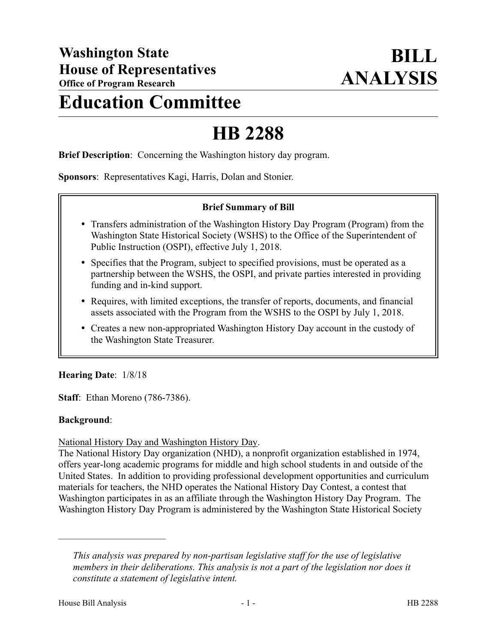# **Education Committee**

# **HB 2288**

**Brief Description**: Concerning the Washington history day program.

**Sponsors**: Representatives Kagi, Harris, Dolan and Stonier.

## **Brief Summary of Bill**

- Transfers administration of the Washington History Day Program (Program) from the Washington State Historical Society (WSHS) to the Office of the Superintendent of Public Instruction (OSPI), effective July 1, 2018.
- Specifies that the Program, subject to specified provisions, must be operated as a partnership between the WSHS, the OSPI, and private parties interested in providing funding and in-kind support.
- Requires, with limited exceptions, the transfer of reports, documents, and financial assets associated with the Program from the WSHS to the OSPI by July 1, 2018.
- Creates a new non-appropriated Washington History Day account in the custody of the Washington State Treasurer.

### **Hearing Date**: 1/8/18

**Staff**: Ethan Moreno (786-7386).

### **Background**:

#### National History Day and Washington History Day.

The National History Day organization (NHD), a nonprofit organization established in 1974, offers year-long academic programs for middle and high school students in and outside of the United States. In addition to providing professional development opportunities and curriculum materials for teachers, the NHD operates the National History Day Contest, a contest that Washington participates in as an affiliate through the Washington History Day Program. The Washington History Day Program is administered by the Washington State Historical Society

––––––––––––––––––––––

*This analysis was prepared by non-partisan legislative staff for the use of legislative members in their deliberations. This analysis is not a part of the legislation nor does it constitute a statement of legislative intent.*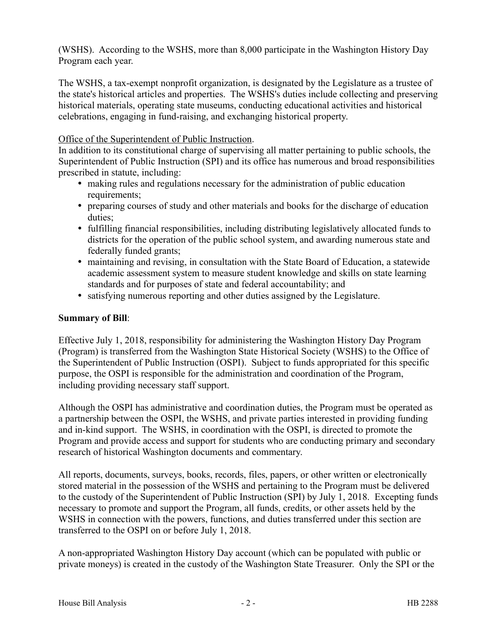(WSHS). According to the WSHS, more than 8,000 participate in the Washington History Day Program each year.

The WSHS, a tax-exempt nonprofit organization, is designated by the Legislature as a trustee of the state's historical articles and properties. The WSHS's duties include collecting and preserving historical materials, operating state museums, conducting educational activities and historical celebrations, engaging in fund-raising, and exchanging historical property.

## Office of the Superintendent of Public Instruction.

In addition to its constitutional charge of supervising all matter pertaining to public schools, the Superintendent of Public Instruction (SPI) and its office has numerous and broad responsibilities prescribed in statute, including:

- making rules and regulations necessary for the administration of public education requirements;
- preparing courses of study and other materials and books for the discharge of education duties;
- fulfilling financial responsibilities, including distributing legislatively allocated funds to districts for the operation of the public school system, and awarding numerous state and federally funded grants;
- maintaining and revising, in consultation with the State Board of Education, a statewide academic assessment system to measure student knowledge and skills on state learning standards and for purposes of state and federal accountability; and
- satisfying numerous reporting and other duties assigned by the Legislature.

## **Summary of Bill**:

Effective July 1, 2018, responsibility for administering the Washington History Day Program (Program) is transferred from the Washington State Historical Society (WSHS) to the Office of the Superintendent of Public Instruction (OSPI). Subject to funds appropriated for this specific purpose, the OSPI is responsible for the administration and coordination of the Program, including providing necessary staff support.

Although the OSPI has administrative and coordination duties, the Program must be operated as a partnership between the OSPI, the WSHS, and private parties interested in providing funding and in-kind support. The WSHS, in coordination with the OSPI, is directed to promote the Program and provide access and support for students who are conducting primary and secondary research of historical Washington documents and commentary.

All reports, documents, surveys, books, records, files, papers, or other written or electronically stored material in the possession of the WSHS and pertaining to the Program must be delivered to the custody of the Superintendent of Public Instruction (SPI) by July 1, 2018. Excepting funds necessary to promote and support the Program, all funds, credits, or other assets held by the WSHS in connection with the powers, functions, and duties transferred under this section are transferred to the OSPI on or before July 1, 2018.

A non-appropriated Washington History Day account (which can be populated with public or private moneys) is created in the custody of the Washington State Treasurer. Only the SPI or the